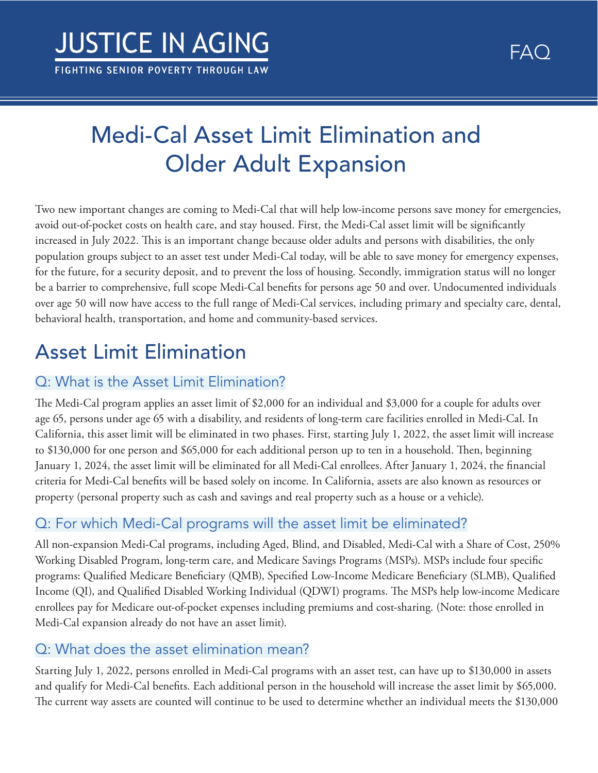# Medi-Cal Asset Limit Elimination and Older Adult Expansion

Two new important changes are coming to Medi-Cal that will help low-income persons save money for emergencies, avoid out-of-pocket costs on health care, and stay housed. First, the Medi-Cal asset limit will be signifcantly increased in July 2022. This is an important change because older adults and persons with disabilities, the only population groups subject to an asset test under Medi-Cal today, will be able to save money for emergency expenses, for the future, for a security deposit, and to prevent the loss of housing. Secondly, immigration status will no longer be a barrier to comprehensive, full scope Medi-Cal benefts for persons age 50 and over. Undocumented individuals over age 50 will now have access to the full range of Medi-Cal services, including primary and specialty care, dental, behavioral health, transportation, and home and community-based services.

## Asset Limit Elimination

## Q: What is the Asset Limit Elimination?

The Medi-Cal program applies an asset limit of \$2,000 for an individual and \$3,000 for a couple for adults over age 65, persons under age 65 with a disability, and residents of long-term care facilities enrolled in Medi-Cal. In California, this asset limit will be eliminated in two phases. First, starting July 1, 2022, the asset limit will increase to \$130,000 for one person and \$65,000 for each additional person up to ten in a household. Then, beginning January 1, 2024, the asset limit will be eliminated for all Medi-Cal enrollees. After January 1, 2024, the fnancial criteria for Medi-Cal benefts will be based solely on income. In California, assets are also known as resources or property (personal property such as cash and savings and real property such as a house or a vehicle).

## Q: For which Medi-Cal programs will the asset limit be eliminated?

All non-expansion Medi-Cal programs, including Aged, Blind, and Disabled, Medi-Cal with a Share of Cost, 250% Working Disabled Program, long-term care, and Medicare Savings Programs (MSPs). MSPs include four specifc programs: Qualifed Medicare Benefciary (QMB), Specifed Low-Income Medicare Benefciary (SLMB), Qualifed Income (QI), and Qualified Disabled Working Individual (QDWI) programs. The MSPs help low-income Medicare enrollees pay for Medicare out-of-pocket expenses including premiums and cost-sharing. (Note: those enrolled in Medi-Cal expansion already do not have an asset limit).

### Q: What does the asset elimination mean?

Starting July 1, 2022, persons enrolled in Medi-Cal programs with an asset test, can have up to \$130,000 in assets and qualify for Medi-Cal benefts. Each additional person in the household will increase the asset limit by \$65,000. The current way assets are counted will continue to be used to determine whether an individual meets the \$130,000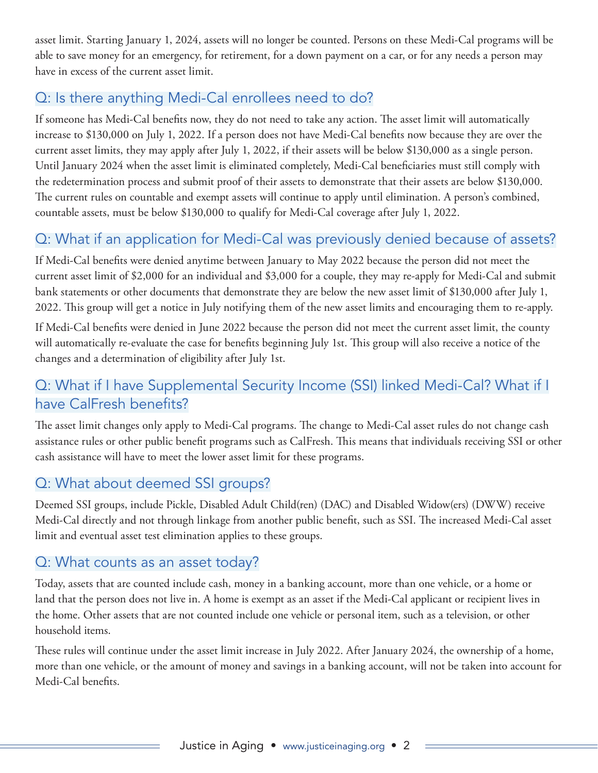asset limit. Starting January 1, 2024, assets will no longer be counted. Persons on these Medi-Cal programs will be able to save money for an emergency, for retirement, for a down payment on a car, or for any needs a person may have in excess of the current asset limit.

## Q: Is there anything Medi-Cal enrollees need to do?

If someone has Medi-Cal benefits now, they do not need to take any action. The asset limit will automatically increase to \$130,000 on July 1, 2022. If a person does not have Medi-Cal benefts now because they are over the current asset limits, they may apply after July 1, 2022, if their assets will be below \$130,000 as a single person. Until January 2024 when the asset limit is eliminated completely, Medi-Cal benefciaries must still comply with the redetermination process and submit proof of their assets to demonstrate that their assets are below \$130,000. The current rules on countable and exempt assets will continue to apply until elimination. A person's combined, countable assets, must be below \$130,000 to qualify for Medi-Cal coverage after July 1, 2022.

### Q: What if an application for Medi-Cal was previously denied because of assets?

If Medi-Cal benefts were denied anytime between January to May 2022 because the person did not meet the current asset limit of \$2,000 for an individual and \$3,000 for a couple, they may re-apply for Medi-Cal and submit bank statements or other documents that demonstrate they are below the new asset limit of \$130,000 after July 1, 2022. This group will get a notice in July notifying them of the new asset limits and encouraging them to re-apply.

If Medi-Cal benefts were denied in June 2022 because the person did not meet the current asset limit, the county will automatically re-evaluate the case for benefits beginning July 1st. This group will also receive a notice of the changes and a determination of eligibility after July 1st.

### Q: What if I have Supplemental Security Income (SSI) linked Medi-Cal? What if I have CalFresh benefits?

The asset limit changes only apply to Medi-Cal programs. The change to Medi-Cal asset rules do not change cash assistance rules or other public benefit programs such as CalFresh. This means that individuals receiving SSI or other cash assistance will have to meet the lower asset limit for these programs.

### Q: What about deemed SSI groups?

Deemed SSI groups, include Pickle, Disabled Adult Child(ren) (DAC) and Disabled Widow(ers) (DWW) receive Medi-Cal directly and not through linkage from another public benefit, such as SSI. The increased Medi-Cal asset limit and eventual asset test elimination applies to these groups.

### Q: What counts as an asset today?

Today, assets that are counted include cash, money in a banking account, more than one vehicle, or a home or land that the person does not live in. A home is exempt as an asset if the Medi-Cal applicant or recipient lives in the home. Other assets that are not counted include one vehicle or personal item, such as a television, or other household items.

These rules will continue under the asset limit increase in July 2022. After January 2024, the ownership of a home, more than one vehicle, or the amount of money and savings in a banking account, will not be taken into account for Medi-Cal benefts.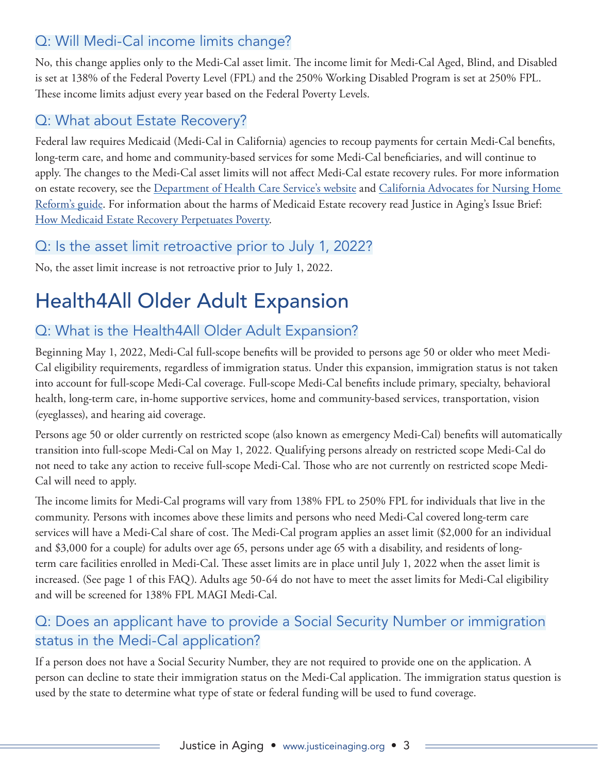## Q: Will Medi-Cal income limits change?

No, this change applies only to the Medi-Cal asset limit. The income limit for Medi-Cal Aged, Blind, and Disabled is set at 138% of the Federal Poverty Level (FPL) and the 250% Working Disabled Program is set at 250% FPL. These income limits adjust every year based on the Federal Poverty Levels.

## Q: What about Estate Recovery?

Federal law requires Medicaid (Medi-Cal in California) agencies to recoup payments for certain Medi-Cal benefts, long-term care, and home and community-based services for some Medi-Cal benefciaries, and will continue to apply. The changes to the Medi-Cal asset limits will not affect Medi-Cal estate recovery rules. For more information on estate recovery, see the [Department of Health Care Service's website](https://www.dhcs.ca.gov/services/Pages/TPLRD_ER_cont.aspx) and [California Advocates for Nursing Home](http://www.canhr.org/medcal/medcal_recoveryinfo.htm)  [Reform's guide](http://www.canhr.org/medcal/medcal_recoveryinfo.htm). For information about the harms of Medicaid Estate recovery read Justice in Aging's Issue Brief: [How Medicaid Estate Recovery Perpetuates Poverty](https://justiceinaging.org/issue-brief-how-medicaid-estate-recovery-perpetuates-poverty/).

### Q: Is the asset limit retroactive prior to July 1, 2022?

No, the asset limit increase is not retroactive prior to July 1, 2022.

## Health4All Older Adult Expansion

## Q: What is the Health4All Older Adult Expansion?

Beginning May 1, 2022, Medi-Cal full-scope benefts will be provided to persons age 50 or older who meet Medi-Cal eligibility requirements, regardless of immigration status. Under this expansion, immigration status is not taken into account for full-scope Medi-Cal coverage. Full-scope Medi-Cal benefts include primary, specialty, behavioral health, long-term care, in-home supportive services, home and community-based services, transportation, vision (eyeglasses), and hearing aid coverage.

Persons age 50 or older currently on restricted scope (also known as emergency Medi-Cal) benefts will automatically transition into full-scope Medi-Cal on May 1, 2022. Qualifying persons already on restricted scope Medi-Cal do not need to take any action to receive full-scope Medi-Cal. Those who are not currently on restricted scope Medi-Cal will need to apply.

The income limits for Medi-Cal programs will vary from 138% FPL to 250% FPL for individuals that live in the community. Persons with incomes above these limits and persons who need Medi-Cal covered long-term care services will have a Medi-Cal share of cost. The Medi-Cal program applies an asset limit (\$2,000 for an individual and \$3,000 for a couple) for adults over age 65, persons under age 65 with a disability, and residents of longterm care facilities enrolled in Medi-Cal. These asset limits are in place until July 1, 2022 when the asset limit is increased. (See page 1 of this FAQ). Adults age 50-64 do not have to meet the asset limits for Medi-Cal eligibility and will be screened for 138% FPL MAGI Medi-Cal.

### Q: Does an applicant have to provide a Social Security Number or immigration status in the Medi-Cal application?

If a person does not have a Social Security Number, they are not required to provide one on the application. A person can decline to state their immigration status on the Medi-Cal application. The immigration status question is used by the state to determine what type of state or federal funding will be used to fund coverage.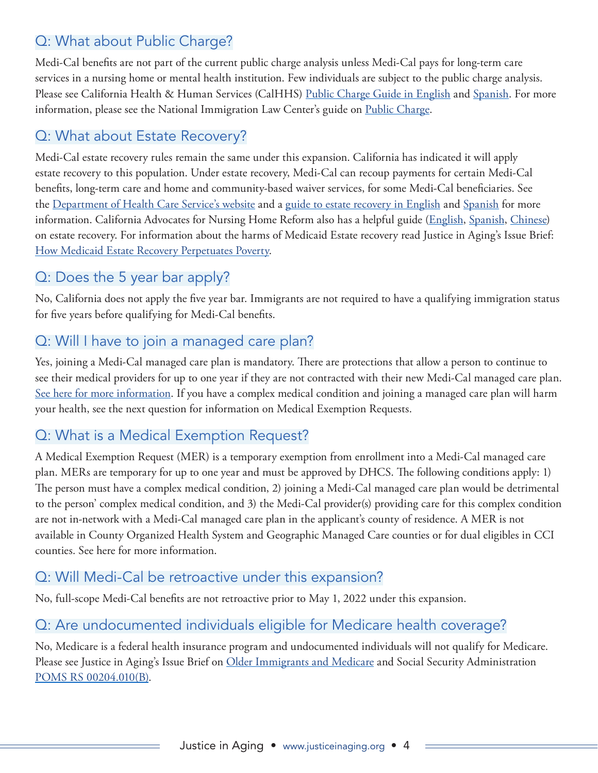## Q: What about Public Charge?

Medi-Cal benefts are not part of the current public charge analysis unless Medi-Cal pays for long-term care services in a nursing home or mental health institution. Few individuals are subject to the public charge analysis. Please see California Health & Human Services (CalHHS) [Public Charge Guide in English](https://www.chhs.ca.gov/wp-content/uploads/2021/10/CalHHS-Public-Charge-Guide-October-2021.pdf) and [Spanish](https://www.chhs.ca.gov/wp-content/uploads/2021/10/CalHHS-GUIA-SOBRE-LA-CARGA-PUBLICA-Octubre-2021.pdf). For more information, please see the National Immigration Law Center's guide on [Public Charge.](https://www.nilc.org/issues/economic-support/pubcharge/)

### Q: What about Estate Recovery?

Medi-Cal estate recovery rules remain the same under this expansion. California has indicated it will apply estate recovery to this population. Under estate recovery, Medi-Cal can recoup payments for certain Medi-Cal benefts, long-term care and home and community-based waiver services, for some Medi-Cal benefciaries. See the [Department of Health Care Service's website](https://www.dhcs.ca.gov/services/Pages/TPLRD_ER_cont.aspx) and a [guide to estate recovery in English](https://www.dhcs.ca.gov/services/Documents/ER_Brochure_Eng_0619.pdf) and [Spanish](https://www.dhcs.ca.gov/services/Documents/ER_Brochure_SP_0619.pdf) for more information. California Advocates for Nursing Home Reform also has a helpful guide [\(English](http://www.canhr.org/publications/PDFs/Medi-Cal_Recovery.pdf), [Spanish,](http://www.canhr.org/publications/PDFs/Spanish/Medi-Cal_Recovery_Sp.pdf) [Chinese\)](http://www.canhr.org/publications/PDFs/Chinese/Medi-Cal_Recovery_chinese.pdf) on estate recovery. For information about the harms of Medicaid Estate recovery read Justice in Aging's Issue Brief: [How Medicaid Estate Recovery Perpetuates Poverty](https://justiceinaging.org/issue-brief-how-medicaid-estate-recovery-perpetuates-poverty/).

### Q: Does the 5 year bar apply?

No, California does not apply the fve year bar. Immigrants are not required to have a qualifying immigration status for fve years before qualifying for Medi-Cal benefts.

### Q: Will I have to join a managed care plan?

Yes, joining a Medi-Cal managed care plan is mandatory. There are protections that allow a person to continue to see their medical providers for up to one year if they are not contracted with their new Medi-Cal managed care plan. [See here for more information.](https://www.dhcs.ca.gov/services/Pages/ContinuityOfCare.aspx) If you have a complex medical condition and joining a managed care plan will harm your health, see the next question for information on Medical Exemption Requests.

### Q: What is a Medical Exemption Request?

A Medical Exemption Request (MER) is a temporary exemption from enrollment into a Medi-Cal managed care plan. MERs are temporary for up to one year and must be approved by DHCS. The following conditions apply: 1) The person must have a complex medical condition, 2) joining a Medi-Cal managed care plan would be detrimental to the person' complex medical condition, and 3) the Medi-Cal provider(s) providing care for this complex condition are not in-network with a Medi-Cal managed care plan in the applicant's county of residence. A MER is not available in County Organized Health System and Geographic Managed Care counties or for dual eligibles in CCI counties. See here for more information.

#### Q: Will Medi-Cal be retroactive under this expansion?

No, full-scope Medi-Cal benefts are not retroactive prior to May 1, 2022 under this expansion.

### Q: Are undocumented individuals eligible for Medicare health coverage?

No, Medicare is a federal health insurance program and undocumented individuals will not qualify for Medicare. Please see Justice in Aging's Issue Brief on [Older Immigrants and Medicare](https://justiceinaging.org/issue-brief-older-immigrants-and-medicare/) and Social Security Administration [POMS RS 00204.010\(B\)](https://secure.ssa.gov/apps10/poms.nsf/lnx/0300204010).